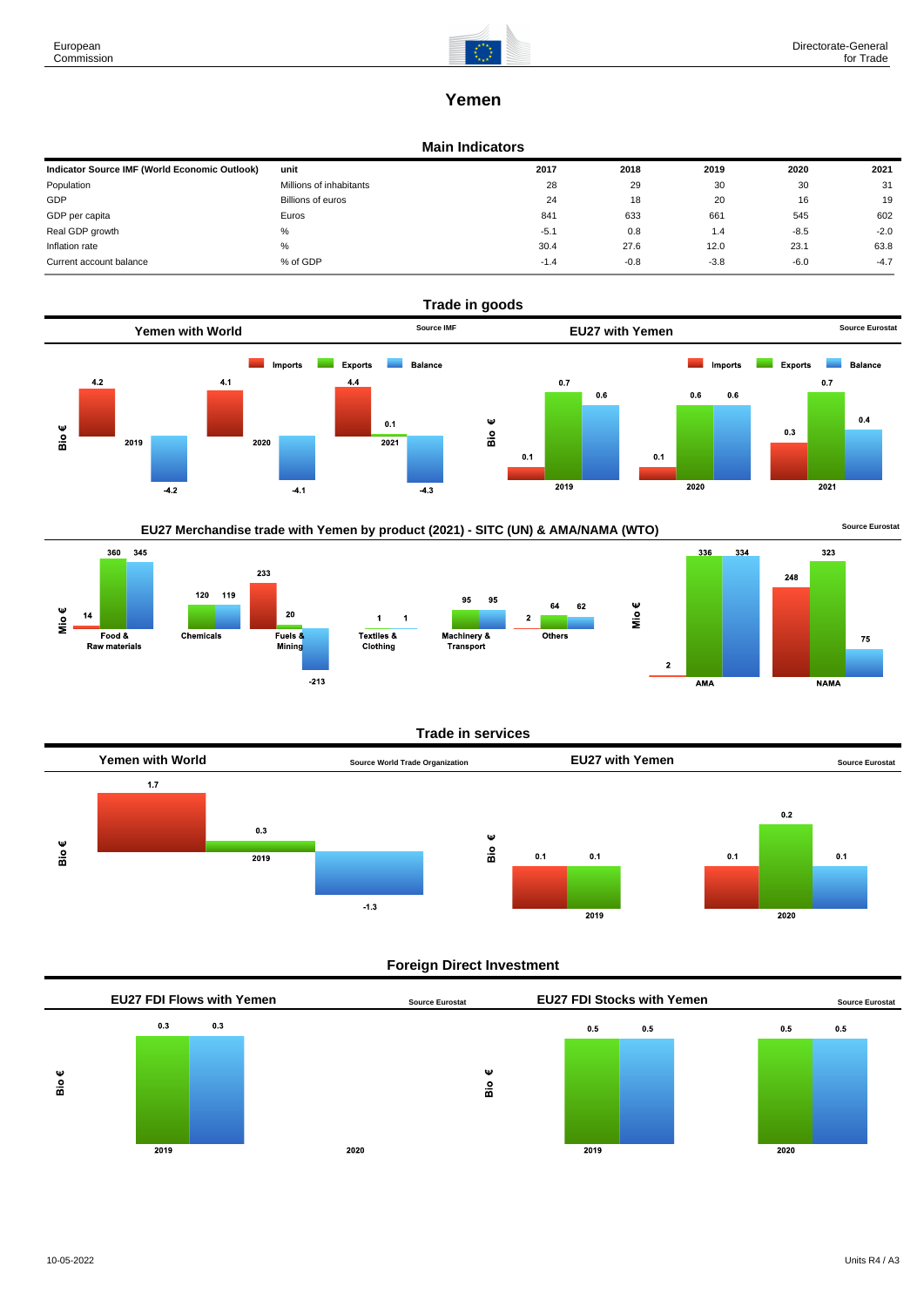

# **Yemen**

### **Main Indicators**

| Indicator Source IMF (World Economic Outlook) | unit                    | 2017   | 2018   | 2019   | 2020   | 2021   |
|-----------------------------------------------|-------------------------|--------|--------|--------|--------|--------|
| Population                                    | Millions of inhabitants | 28     | 29     | 30     | 30     | 31     |
| GDP                                           | Billions of euros       | 24     | 18     | 20     | 16     | 19     |
| GDP per capita                                | Euros                   | 841    | 633    | 661    | 545    | 602    |
| Real GDP growth                               | %                       | $-5.1$ | 0.8    | 1.4    | $-8.5$ | $-2.0$ |
| Inflation rate                                | $\%$                    | 30.4   | 27.6   | 12.0   | 23.1   | 63.8   |
| Current account balance                       | % of GDP                | $-1.4$ | $-0.8$ | $-3.8$ | $-6.0$ | $-4.7$ |











### **Trade in services**



## **Foreign Direct Investment**